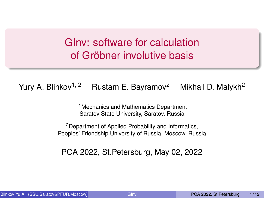## <span id="page-0-0"></span>GInv: software for calculation of Gröbner involutive basis

### Yury A. Blinkov<sup>1, 2</sup> Rustam E. Bayramov<sup>2</sup> Mikhail D. Malykh<sup>2</sup>

<sup>1</sup>Mechanics and Mathematics Department Saratov State University, Saratov, Russia

<sup>2</sup>Department of Applied Probability and Informatics, Peoples' Friendship University of Russia, Moscow, Russia

PCA 2022, St.Petersburg, May 02, 2022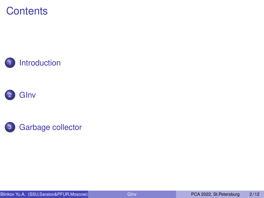### **Contents**





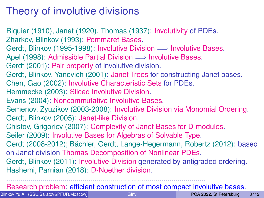# <span id="page-2-0"></span>Theory of involutive divisions

Riquier (1910), Janet (1920), Thomas (1937): Involutivity of PDEs. Zharkov, Blinkov (1993): Pommaret Bases. Gerdt, Blinkov (1995-1998): Involutive Division  $\Longrightarrow$  Involutive Bases. Apel (1998): Admissible Partial Division  $\implies$  Involutive Bases. Gerdt (2001): Pair property of involutive division. Gerdt, Blinkov, Yanovich (2001): Janet Trees for constructing Janet bases. Chen, Gao (2002): Involutive Characteristic Sets for PDEs. Hemmecke (2003): Sliced Involutive Division. Evans (2004): Noncommutative Involutive Bases. Semenov, Zyuzikov (2003-2008): Involutive Division via Monomial Ordering. Gerdt, Blinkov (2005): Janet-like Division. Chistov, Grigoriev (2007): Complexity of Janet Bases for D-modules. Seiler (2009): Involutive Bases for Algebras of Solvable Type. Gerdt (2008-2012); Bächler, Gerdt, Lange-Hegermann, Robertz (2012): based on Janet division Thomas Decomposition of Nonlinear PDEs. Gerdt, Blinkov (2011): Involutive Division generated by antigraded ordering. Hashemi, Parnian (2018): D-Noether division. ...................................................................................................

Research problem: efficient construction of most compact involutive bases.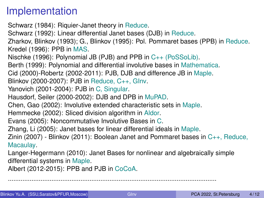## Implementation

- Schwarz (1984): Riquier-Janet theory in Reduce.
- Schwarz (1992): Linear differential Janet bases (DJB) in Reduce.
- Zharkov, Blinkov (1993); G., Blinkov (1995): Pol. Pommaret bases (PPB) in Reduce. Kredel (1996): PPB in MAS.
- Nischke (1996): Polynomial JB (PJB) and PPB in C++ (PoSSoLib).
- Berth (1999): Polynomial and differential involutive bases in Mathematica.
- Cid (2000)-Robertz (2002-2011): PJB, DJB and difference JB in Maple.
- Blinkov (2000-2007): PJB in Reduce, C++, GInv.
- Yanovich (2001-2004): PJB in C, Singular.
- Hausdorf, Seiler (2000-2002): DJB and DPB in MuPAD.
- Chen, Gao (2002): Involutive extended characteristic sets in Maple.
- Hemmecke (2002): Sliced division algorithm in Aldor.
- Evans (2005): Noncommutative Involutive Bases in C.
- Zhang, Li (2005): Janet bases for linear differential ideals in Maple.
- Zinin (2007) Blinkov (2011): Boolean Janet and Pommaret bases in C++, Reduce, Macaulay.
- Langer-Hegermann (2010): Janet Bases for nonlinear and algebraically simple differential systems in Maple.
- Albert (2012-2015): PPB and PJB in CoCoA.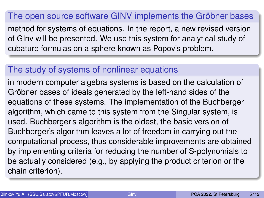#### <span id="page-4-0"></span>The open source software GINV implements the Gröbner bases

method for systems of equations. In the report, a new revised version of GInv will be presented. We use this system for analytical study of cubature formulas on a sphere known as Popov's problem.

### The study of systems of nonlinear equations

in modern computer algebra systems is based on the calculation of Gröbner bases of ideals generated by the left-hand sides of the equations of these systems. The implementation of the Buchberger algorithm, which came to this system from the Singular system, is used. Buchberger's algorithm is the oldest, the basic version of Buchberger's algorithm leaves a lot of freedom in carrying out the computational process, thus considerable improvements are obtained by implementing criteria for reducing the number of S-polynomials to be actually considered (e.g., by applying the product criterion or the chain criterion).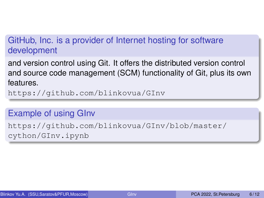### <span id="page-5-0"></span>GitHub, Inc. is a provider of Internet hosting for software development

and version control using Git. It offers the distributed version control and source code management (SCM) functionality of Git, plus its own features.

<https://github.com/blinkovua/GInv>

#### Example of using GInv

[https://github.com/blinkovua/GInv/blob/master/](https://github.com/blinkovua/GInv/blob/master/cython/GInv.ipynb) [cython/GInv.ipynb](https://github.com/blinkovua/GInv/blob/master/cython/GInv.ipynb)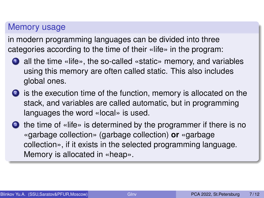### Memory usage

in modern programming languages can be divided into three categories according to the time of their «life» in the program:

- **1** all the time «life», the so-called «static» memory, and variables using this memory are often called static. This also includes global ones.
- <sup>2</sup> is the execution time of the function, memory is allocated on the stack, and variables are called automatic, but in programming languages the word «local» is used.
- **3** the time of «life» is determined by the programmer if there is no «garbage collection» (garbage collection) **or** «garbage collection», if it exists in the selected programming language. Memory is allocated in «heap».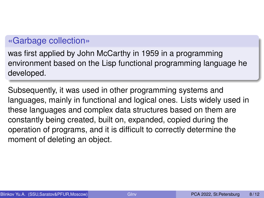#### «Garbage collection»

was first applied by John McCarthy in 1959 in a programming environment based on the Lisp functional programming language he developed.

Subsequently, it was used in other programming systems and languages, mainly in functional and logical ones. Lists widely used in these languages and complex data structures based on them are constantly being created, built on, expanded, copied during the operation of programs, and it is difficult to correctly determine the moment of deleting an object.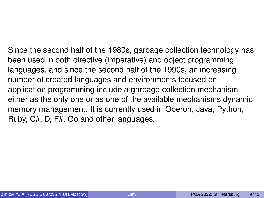Since the second half of the 1980s, garbage collection technology has been used in both directive (imperative) and object programming languages, and since the second half of the 1990s, an increasing number of created languages and environments focused on application programming include a garbage collection mechanism either as the only one or as one of the available mechanisms dynamic memory management. It is currently used in Oberon, Java, Python, Ruby, C#, D, F#, Go and other languages.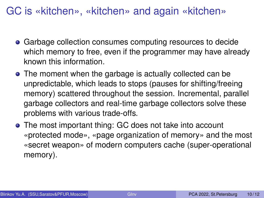GC is «kitchen», «kitchen» and again «kitchen»

- Garbage collection consumes computing resources to decide which memory to free, even if the programmer may have already known this information.
- The moment when the garbage is actually collected can be unpredictable, which leads to stops (pauses for shifting/freeing memory) scattered throughout the session. Incremental, parallel garbage collectors and real-time garbage collectors solve these problems with various trade-offs.
- The most important thing: GC does not take into account «protected mode», «page organization of memory» and the most «secret weapon» of modern computers cache (super-operational memory).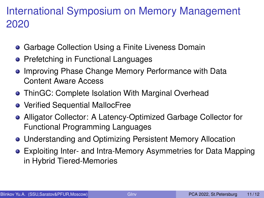## International Symposium on Memory Management 2020

- **Garbage Collection Using a Finite Liveness Domain**
- **Prefetching in Functional Languages**
- **.** Improving Phase Change Memory Performance with Data Content Aware Access
- ThinGC: Complete Isolation With Marginal Overhead
- Verified Sequential MallocFree
- Alligator Collector: A Latency-Optimized Garbage Collector for Functional Programming Languages
- Understanding and Optimizing Persistent Memory Allocation
- Exploiting Inter- and Intra-Memory Asymmetries for Data Mapping in Hybrid Tiered-Memories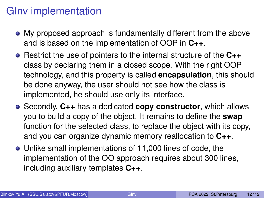## <span id="page-11-0"></span>GInv implementation

- My proposed approach is fundamentally different from the above and is based on the implementation of OOP in **C++**.
- Restrict the use of pointers to the internal structure of the **C++** class by declaring them in a closed scope. With the right OOP technology, and this property is called **encapsulation**, this should be done anyway, the user should not see how the class is implemented, he should use only its interface.
- Secondly, **C++** has a dedicated **copy constructor**, which allows you to build a copy of the object. It remains to define the **swap** function for the selected class, to replace the object with its copy, and you can organize dynamic memory reallocation to **C++**.
- Unlike small implementations of 11,000 lines of code, the implementation of the OO approach requires about 300 lines, including auxiliary templates **C++**.